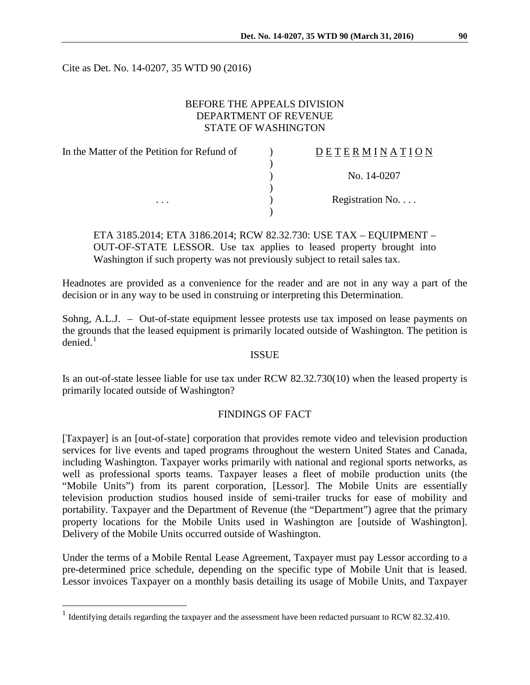Cite as Det. No. 14-0207, 35 WTD 90 (2016)

# BEFORE THE APPEALS DIVISION DEPARTMENT OF REVENUE STATE OF WASHINGTON

| In the Matter of the Petition for Refund of | DETERMINATION   |
|---------------------------------------------|-----------------|
|                                             |                 |
|                                             | No. 14-0207     |
|                                             |                 |
| $\cdots$                                    | Registration No |
|                                             |                 |

ETA 3185.2014; ETA 3186.2014; RCW 82.32.730: USE TAX – EQUIPMENT – OUT-OF-STATE LESSOR. Use tax applies to leased property brought into Washington if such property was not previously subject to retail sales tax.

Headnotes are provided as a convenience for the reader and are not in any way a part of the decision or in any way to be used in construing or interpreting this Determination.

Sohng, A.L.J. – Out-of-state equipment lessee protests use tax imposed on lease payments on the grounds that the leased equipment is primarily located outside of Washington. The petition is  $denied.<sup>1</sup>$  $denied.<sup>1</sup>$  $denied.<sup>1</sup>$ 

#### ISSUE

Is an out-of-state lessee liable for use tax under RCW 82.32.730(10) when the leased property is primarily located outside of Washington?

# FINDINGS OF FACT

[Taxpayer] is an [out-of-state] corporation that provides remote video and television production services for live events and taped programs throughout the western United States and Canada, including Washington. Taxpayer works primarily with national and regional sports networks, as well as professional sports teams. Taxpayer leases a fleet of mobile production units (the "Mobile Units") from its parent corporation, [Lessor]. The Mobile Units are essentially television production studios housed inside of semi-trailer trucks for ease of mobility and portability. Taxpayer and the Department of Revenue (the "Department") agree that the primary property locations for the Mobile Units used in Washington are [outside of Washington]. Delivery of the Mobile Units occurred outside of Washington.

Under the terms of a Mobile Rental Lease Agreement, Taxpayer must pay Lessor according to a pre-determined price schedule, depending on the specific type of Mobile Unit that is leased. Lessor invoices Taxpayer on a monthly basis detailing its usage of Mobile Units, and Taxpayer

<span id="page-0-0"></span><sup>&</sup>lt;sup>1</sup> Identifying details regarding the taxpayer and the assessment have been redacted pursuant to RCW 82.32.410.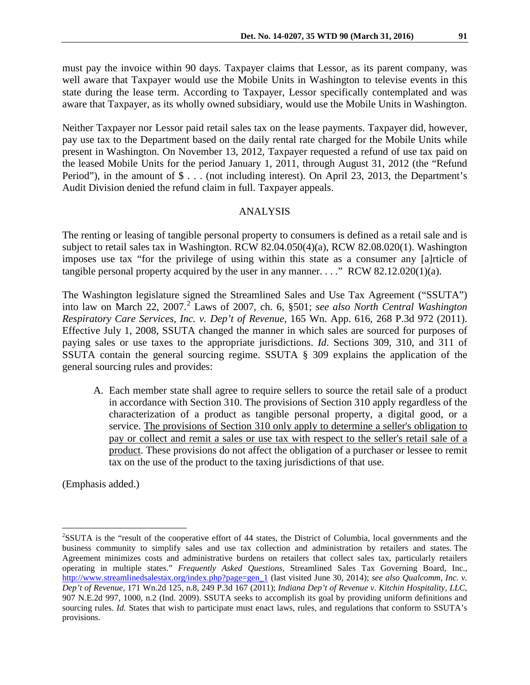must pay the invoice within 90 days. Taxpayer claims that Lessor, as its parent company, was well aware that Taxpayer would use the Mobile Units in Washington to televise events in this state during the lease term. According to Taxpayer, Lessor specifically contemplated and was aware that Taxpayer, as its wholly owned subsidiary, would use the Mobile Units in Washington.

Neither Taxpayer nor Lessor paid retail sales tax on the lease payments. Taxpayer did, however, pay use tax to the Department based on the daily rental rate charged for the Mobile Units while present in Washington. On November 13, 2012, Taxpayer requested a refund of use tax paid on the leased Mobile Units for the period January 1, 2011, through August 31, 2012 (the "Refund Period"), in the amount of \$ . . . (not including interest). On April 23, 2013, the Department's Audit Division denied the refund claim in full. Taxpayer appeals.

#### ANALYSIS

The renting or leasing of tangible personal property to consumers is defined as a retail sale and is subject to retail sales tax in Washington. RCW 82.04.050(4)(a), RCW 82.08.020(1). Washington imposes use tax "for the privilege of using within this state as a consumer any [a]rticle of tangible personal property acquired by the user in any manner.  $\ldots$ ." RCW 82.12.020(1)(a).

The Washington legislature signed the Streamlined Sales and Use Tax Agreement ("SSUTA") into law on March 22, 2007. [2](#page-1-0) Laws of 2007, ch. 6, §501; *see also North Central Washington Respiratory Care Services, Inc. v. Dep't of Revenue*, 165 Wn. App. 616, 268 P.3d 972 (2011). Effective July 1, 2008, SSUTA changed the manner in which sales are sourced for purposes of paying sales or use taxes to the appropriate jurisdictions. *Id*. Sections 309, 310, and 311 of SSUTA contain the general sourcing regime. SSUTA § 309 explains the application of the general sourcing rules and provides:

A. Each member state shall agree to require sellers to source the retail sale of a product in accordance with Section 310. The provisions of Section 310 apply regardless of the characterization of a product as tangible personal property, a digital good, or a service. The provisions of Section 310 only apply to determine a seller's obligation to pay or collect and remit a sales or use tax with respect to the seller's retail sale of a product. These provisions do not affect the obligation of a purchaser or lessee to remit tax on the use of the product to the taxing jurisdictions of that use.

(Emphasis added.)

<span id="page-1-0"></span> $\frac{1}{2}$  ${}^{2}$ SSUTA is the "result of the cooperative effort of 44 states, the District of Columbia, local governments and the business community to simplify sales and use tax collection and administration by retailers and states. The Agreement minimizes costs and administrative burdens on retailers that collect sales tax, particularly retailers operating in multiple states." *Frequently Asked Questions,* Streamlined Sales Tax Governing Board, Inc., [http://www.streamlinedsalestax.org/index.php?page=gen\\_1](http://www.streamlinedsalestax.org/index.php?page=gen_1) (last visited June 30, 2014); *see also Qualcomm, Inc. v. Dep't of Revenue,* 171 Wn.2d 125, n.8, 249 P.3d 167 (2011); *Indiana Dep't of Revenue v. Kitchin Hospitality*, *LLC*, 907 N.E.2d 997, 1000, n.2 (Ind. 2009). SSUTA seeks to accomplish its goal by providing uniform definitions and sourcing rules. *Id.* States that wish to participate must enact laws, rules, and regulations that conform to SSUTA's provisions.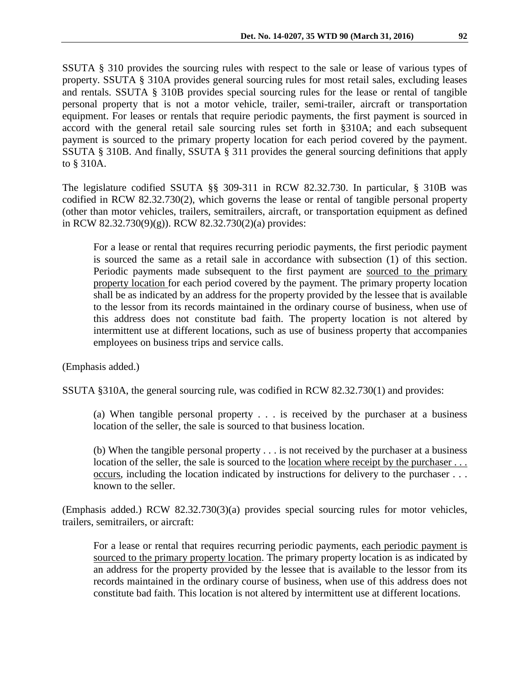SSUTA § 310 provides the sourcing rules with respect to the sale or lease of various types of property. SSUTA § 310A provides general sourcing rules for most retail sales, excluding leases and rentals. SSUTA § 310B provides special sourcing rules for the lease or rental of tangible personal property that is not a motor vehicle, trailer, semi-trailer, aircraft or transportation equipment. For leases or rentals that require periodic payments, the first payment is sourced in accord with the general retail sale sourcing rules set forth in §310A; and each subsequent payment is sourced to the primary property location for each period covered by the payment. SSUTA § 310B. And finally, SSUTA § 311 provides the general sourcing definitions that apply to § 310A.

The legislature codified SSUTA §§ 309-311 in RCW 82.32.730. In particular, § 310B was codified in RCW 82.32.730(2), which governs the lease or rental of tangible personal property (other than motor vehicles, trailers, semitrailers, aircraft, or transportation equipment as defined in RCW 82.32.730(9)(g)). RCW 82.32.730(2)(a) provides:

For a lease or rental that requires recurring periodic payments, the first periodic payment is sourced the same as a retail sale in accordance with subsection (1) of this section. Periodic payments made subsequent to the first payment are sourced to the primary property location for each period covered by the payment. The primary property location shall be as indicated by an address for the property provided by the lessee that is available to the lessor from its records maintained in the ordinary course of business, when use of this address does not constitute bad faith. The property location is not altered by intermittent use at different locations, such as use of business property that accompanies employees on business trips and service calls.

(Emphasis added.)

SSUTA §310A, the general sourcing rule, was codified in RCW 82.32.730(1) and provides:

(a) When tangible personal property . . . is received by the purchaser at a business location of the seller, the sale is sourced to that business location.

(b) When the tangible personal property . . . is not received by the purchaser at a business location of the seller, the sale is sourced to the location where receipt by the purchaser ... occurs, including the location indicated by instructions for delivery to the purchaser . . . known to the seller.

(Emphasis added.) RCW 82.32.730(3)(a) provides special sourcing rules for motor vehicles, trailers, semitrailers, or aircraft:

For a lease or rental that requires recurring periodic payments, each periodic payment is sourced to the primary property location. The primary property location is as indicated by an address for the property provided by the lessee that is available to the lessor from its records maintained in the ordinary course of business, when use of this address does not constitute bad faith. This location is not altered by intermittent use at different locations.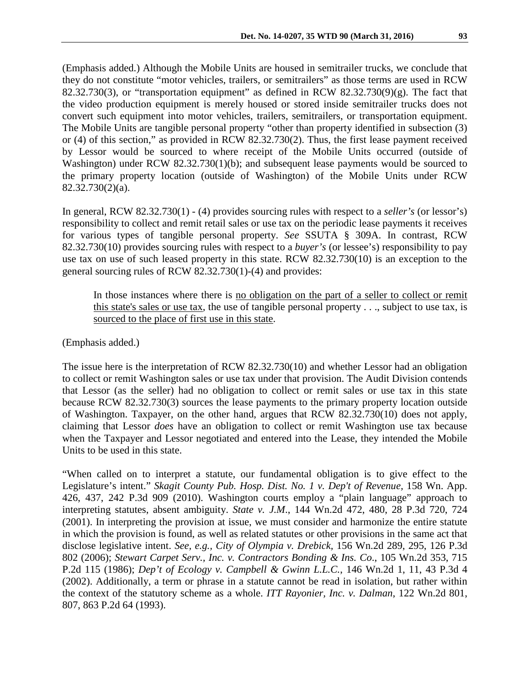(Emphasis added.) Although the Mobile Units are housed in semitrailer trucks, we conclude that they do not constitute "motor vehicles, trailers, or semitrailers" as those terms are used in RCW 82.32.730(3), or "transportation equipment" as defined in RCW 82.32.730(9)(g). The fact that the video production equipment is merely housed or stored inside semitrailer trucks does not convert such equipment into motor vehicles, trailers, semitrailers, or transportation equipment. The Mobile Units are tangible personal property "other than property identified in subsection (3) or (4) of this section," as provided in RCW 82.32.730(2). Thus, the first lease payment received by Lessor would be sourced to where receipt of the Mobile Units occurred (outside of Washington) under RCW 82.32.730(1)(b); and subsequent lease payments would be sourced to the primary property location (outside of Washington) of the Mobile Units under RCW 82.32.730(2)(a).

In general, RCW 82.32.730(1) - (4) provides sourcing rules with respect to a *seller's* (or lessor's) responsibility to collect and remit retail sales or use tax on the periodic lease payments it receives for various types of tangible personal property. *See* SSUTA § 309A. In contrast, RCW 82.32.730(10) provides sourcing rules with respect to a *buyer's* (or lessee's) responsibility to pay use tax on use of such leased property in this state. RCW 82.32.730(10) is an exception to the general sourcing rules of RCW 82.32.730(1)-(4) and provides:

In those instances where there is no obligation on the part of a seller to collect or remit this state's sales or use tax, the use of tangible personal property . . ., subject to use tax, is sourced to the place of first use in this state.

(Emphasis added.)

The issue here is the interpretation of RCW 82.32.730(10) and whether Lessor had an obligation to collect or remit Washington sales or use tax under that provision. The Audit Division contends that Lessor (as the seller) had no obligation to collect or remit sales or use tax in this state because RCW 82.32.730(3) sources the lease payments to the primary property location outside of Washington. Taxpayer, on the other hand, argues that RCW 82.32.730(10) does not apply, claiming that Lessor *does* have an obligation to collect or remit Washington use tax because when the Taxpayer and Lessor negotiated and entered into the Lease, they intended the Mobile Units to be used in this state.

"When called on to interpret a statute, our fundamental obligation is to give effect to the Legislature's intent." *[Skagit County Pub. Hosp. Dist. No. 1 v. Dep't of Revenue,](http://web2.westlaw.com/find/default.wl?mt=Westlaw&db=4645&tc=-1&rp=%2ffind%2fdefault.wl&findtype=Y&ordoc=2026713044&serialnum=2023637236&vr=2.0&fn=_top&sv=Split&tf=-1&pbc=BB211D06&rs=WLW14.04)* 158 Wn. App. [426, 437, 242 P.3d 909 \(2010\)](http://web2.westlaw.com/find/default.wl?mt=Westlaw&db=4645&tc=-1&rp=%2ffind%2fdefault.wl&findtype=Y&ordoc=2026713044&serialnum=2023637236&vr=2.0&fn=_top&sv=Split&tf=-1&pbc=BB211D06&rs=WLW14.04). Washington courts employ a "plain language" approach to interpreting statutes, absent ambiguity. *State v. J.M*., 144 Wn.2d 472, 480, 28 P.3d 720, 724 (2001). In interpreting the provision at issue, we must consider and harmonize the entire statute in which the provision is found, as well as related statutes or other provisions in the same act that disclose legislative intent. *See, e.g., City of Olympia v. Drebick,* [156 Wn.2d 289, 295, 126 P.3d](http://web2.westlaw.com/find/default.wl?serialnum=2008239586&tc=-1&rp=%2ffind%2fdefault.wl&sv=Split&rs=WLW11.04&db=4645&tf=-1&findtype=Y&fn=_top&mt=230&vr=2.0&pbc=6C95FAC9&ordoc=2010683807)  [802 \(2006\);](http://web2.westlaw.com/find/default.wl?serialnum=2008239586&tc=-1&rp=%2ffind%2fdefault.wl&sv=Split&rs=WLW11.04&db=4645&tf=-1&findtype=Y&fn=_top&mt=230&vr=2.0&pbc=6C95FAC9&ordoc=2010683807) *Stewart Carpet Serv., Inc. v. Contractors Bonding & Ins. Co*., 105 Wn.2d 353, 715 P.2d 115 (1986); *Dep't of Ecology v. Campbell & Gwinn L.L.C.*, 146 Wn.2d 1, 11, 43 P.3d 4 (2002). Additionally, a term or phrase in a statute cannot be read in isolation, but rather within the context of the statutory scheme as a whole. *ITT Rayonier, Inc. v. Dalman*, 122 Wn.2d 801, 807, 863 P.2d 64 (1993).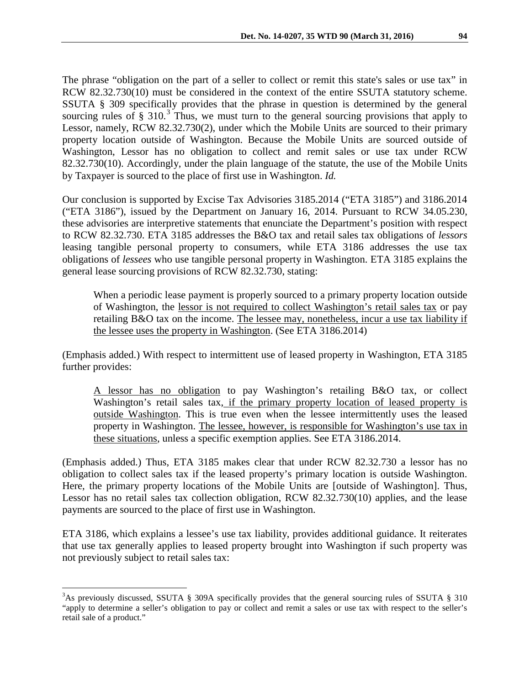The phrase "obligation on the part of a seller to collect or remit this state's sales or use tax" in RCW 82.32.730(10) must be considered in the context of the entire SSUTA statutory scheme. SSUTA § 309 specifically provides that the phrase in question is determined by the general sourcing rules of  $\S 310<sup>3</sup>$  $\S 310<sup>3</sup>$  $\S 310<sup>3</sup>$ . Thus, we must turn to the general sourcing provisions that apply to Lessor, namely, RCW 82.32.730(2), under which the Mobile Units are sourced to their primary property location outside of Washington. Because the Mobile Units are sourced outside of Washington, Lessor has no obligation to collect and remit sales or use tax under RCW 82.32.730(10). Accordingly, under the plain language of the statute, the use of the Mobile Units by Taxpayer is sourced to the place of first use in Washington. *Id.* 

Our conclusion is supported by Excise Tax Advisories 3185.2014 ("ETA 3185") and 3186.2014 ("ETA 3186"), issued by the Department on January 16, 2014. Pursuant to RCW 34.05.230, these advisories are interpretive statements that enunciate the Department's position with respect to RCW 82.32.730. ETA 3185 addresses the B&O tax and retail sales tax obligations of *lessors* leasing tangible personal property to consumers, while ETA 3186 addresses the use tax obligations of *lessees* who use tangible personal property in Washington. ETA 3185 explains the general lease sourcing provisions of RCW 82.32.730, stating:

When a periodic lease payment is properly sourced to a primary property location outside of Washington, the lessor is not required to collect Washington's retail sales tax or pay retailing B&O tax on the income. The lessee may, nonetheless, incur a use tax liability if the lessee uses the property in Washington. (See ETA 3186.2014)

(Emphasis added.) With respect to intermittent use of leased property in Washington, ETA 3185 further provides:

A lessor has no obligation to pay Washington's retailing B&O tax, or collect Washington's retail sales tax, if the primary property location of leased property is outside Washington. This is true even when the lessee intermittently uses the leased property in Washington. The lessee, however, is responsible for Washington's use tax in these situations, unless a specific exemption applies. See ETA 3186.2014.

(Emphasis added.) Thus, ETA 3185 makes clear that under RCW 82.32.730 a lessor has no obligation to collect sales tax if the leased property's primary location is outside Washington. Here, the primary property locations of the Mobile Units are [outside of Washington]. Thus, Lessor has no retail sales tax collection obligation, RCW 82.32.730(10) applies, and the lease payments are sourced to the place of first use in Washington.

ETA 3186, which explains a lessee's use tax liability, provides additional guidance. It reiterates that use tax generally applies to leased property brought into Washington if such property was not previously subject to retail sales tax:

<span id="page-4-0"></span><sup>&</sup>lt;sup>2</sup><br>3 <sup>3</sup>As previously discussed, SSUTA § 309A specifically provides that the general sourcing rules of SSUTA § 310 "apply to determine a seller's obligation to pay or collect and remit a sales or use tax with respect to the seller's retail sale of a product."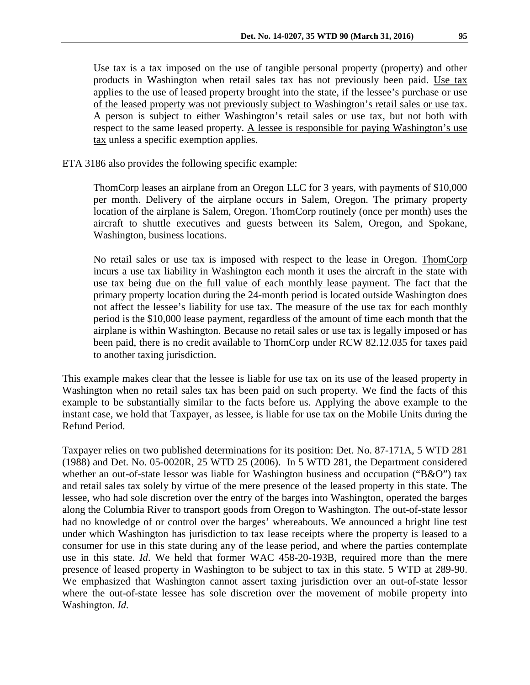Use tax is a tax imposed on the use of tangible personal property (property) and other products in Washington when retail sales tax has not previously been paid. Use tax applies to the use of leased property brought into the state, if the lessee's purchase or use of the leased property was not previously subject to Washington's retail sales or use tax. A person is subject to either Washington's retail sales or use tax, but not both with respect to the same leased property. A lessee is responsible for paying Washington's use tax unless a specific exemption applies.

ETA 3186 also provides the following specific example:

ThomCorp leases an airplane from an Oregon LLC for 3 years, with payments of \$10,000 per month. Delivery of the airplane occurs in Salem, Oregon. The primary property location of the airplane is Salem, Oregon. ThomCorp routinely (once per month) uses the aircraft to shuttle executives and guests between its Salem, Oregon, and Spokane, Washington, business locations.

No retail sales or use tax is imposed with respect to the lease in Oregon. ThomCorp incurs a use tax liability in Washington each month it uses the aircraft in the state with use tax being due on the full value of each monthly lease payment. The fact that the primary property location during the 24-month period is located outside Washington does not affect the lessee's liability for use tax. The measure of the use tax for each monthly period is the \$10,000 lease payment, regardless of the amount of time each month that the airplane is within Washington. Because no retail sales or use tax is legally imposed or has been paid, there is no credit available to ThomCorp under RCW 82.12.035 for taxes paid to another taxing jurisdiction.

This example makes clear that the lessee is liable for use tax on its use of the leased property in Washington when no retail sales tax has been paid on such property. We find the facts of this example to be substantially similar to the facts before us. Applying the above example to the instant case, we hold that Taxpayer, as lessee, is liable for use tax on the Mobile Units during the Refund Period.

Taxpayer relies on two published determinations for its position: Det. No. 87-171A, 5 WTD 281 (1988) and Det. No. 05-0020R, 25 WTD 25 (2006). In 5 WTD 281, the Department considered whether an out-of-state lessor was liable for Washington business and occupation ("B&O") tax and retail sales tax solely by virtue of the mere presence of the leased property in this state. The lessee, who had sole discretion over the entry of the barges into Washington, operated the barges along the Columbia River to transport goods from Oregon to Washington. The out-of-state lessor had no knowledge of or control over the barges' whereabouts. We announced a bright line test under which Washington has jurisdiction to tax lease receipts where the property is leased to a consumer for use in this state during any of the lease period, and where the parties contemplate use in this state. *Id*. We held that former WAC 458-20-193B, required more than the mere presence of leased property in Washington to be subject to tax in this state. 5 WTD at 289-90. We emphasized that Washington cannot assert taxing jurisdiction over an out-of-state lessor where the out-of-state lessee has sole discretion over the movement of mobile property into Washington. *Id.*